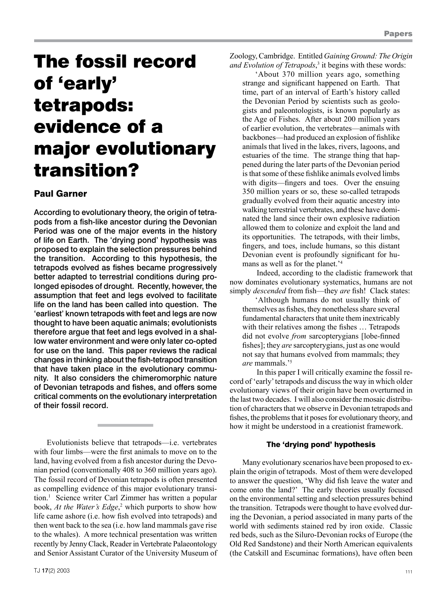# The fossil record of 'early' tetrapods: evidence of a major evolutionary transition?

## Paul Garner

According to evolutionary theory, the origin of tetrapods from a fish-like ancestor during the Devonian Period was one of the major events in the history of life on Earth. The 'drying pond' hypothesis was proposed to explain the selection pressures behind the transition. According to this hypothesis, the tetrapods evolved as fishes became progressively better adapted to terrestrial conditions during prolonged episodes of drought. Recently, however, the assumption that feet and legs evolved to facilitate life on the land has been called into question. The 'earliest' known tetrapods with feet and legs are now thought to have been aquatic animals; evolutionists therefore argue that feet and legs evolved in a shallow water environment and were only later co-opted for use on the land. This paper reviews the radical changes in thinking about the fish-tetrapod transition that have taken place in the evolutionary community. It also considers the chimeromorphic nature of Devonian tetrapods and fishes, and offers some critical comments on the evolutionary interpretation of their fossil record.

Evolutionists believe that tetrapods—i.e. vertebrates with four limbs—were the first animals to move on to the land, having evolved from a fish ancestor during the Devonian period (conventionally 408 to 360 million years ago). The fossil record of Devonian tetrapods is often presented as compelling evidence of this major evolutionary transition.1 Science writer Carl Zimmer has written a popular book, *At the Water's Edge*,<sup>2</sup> which purports to show how life came ashore (i.e. how fish evolved into tetrapods) and then went back to the sea (i.e. how land mammals gave rise to the whales). A more technical presentation was written recently by Jenny Clack, Reader in Vertebrate Palaeontology and Senior Assistant Curator of the University Museum of Zoology, Cambridge. Entitled *Gaining Ground: The Origin and Evolution of Tetrapods*, 3 it begins with these words:

'About 370 million years ago, something strange and significant happened on Earth. That time, part of an interval of Earth's history called the Devonian Period by scientists such as geologists and paleontologists, is known popularly as the Age of Fishes. After about 200 million years of earlier evolution, the vertebrates—animals with backbones—had produced an explosion of fishlike animals that lived in the lakes, rivers, lagoons, and estuaries of the time. The strange thing that happened during the later parts of the Devonian period is that some of these fishlike animals evolved limbs with digits—fingers and toes. Over the ensuing 350 million years or so, these so-called tetrapods gradually evolved from their aquatic ancestry into walking terrestrial vertebrates, and these have dominated the land since their own explosive radiation allowed them to colonize and exploit the land and its opportunities. The tetrapods, with their limbs, fingers, and toes, include humans, so this distant Devonian event is profoundly significant for humans as well as for the planet.'<sup>4</sup>

Indeed, according to the cladistic framework that now dominates evolutionary systematics, humans are not simply *descended* from fish—they *are* fish! Clack states:

'Although humans do not usually think of themselves as fishes, they nonetheless share several fundamental characters that unite them inextricably with their relatives among the fishes ... Tetrapods did not evolve *from* sarcopterygians [lobe-finned fishes]; they *are* sarcopterygians, just as one would not say that humans evolved from mammals; they *are* mammals.'<sup>5</sup>

In this paper I will critically examine the fossil record of 'early' tetrapods and discuss the way in which older evolutionary views of their origin have been overturned in the last two decades. I will also consider the mosaic distribution of characters that we observe in Devonian tetrapods and fishes, the problems that it poses for evolutionary theory, and how it might be understood in a creationist framework.

## The 'drying pond' hypothesis

Many evolutionary scenarios have been proposed to explain the origin of tetrapods. Most of them were developed to answer the question, 'Why did fish leave the water and come onto the land?' The early theories usually focused on the environmental setting and selection pressures behind the transition. Tetrapods were thought to have evolved during the Devonian, a period associated in many parts of the world with sediments stained red by iron oxide. Classic red beds, such as the Siluro-Devonian rocks of Europe (the Old Red Sandstone) and their North American equivalents (the Catskill and Escuminac formations), have often been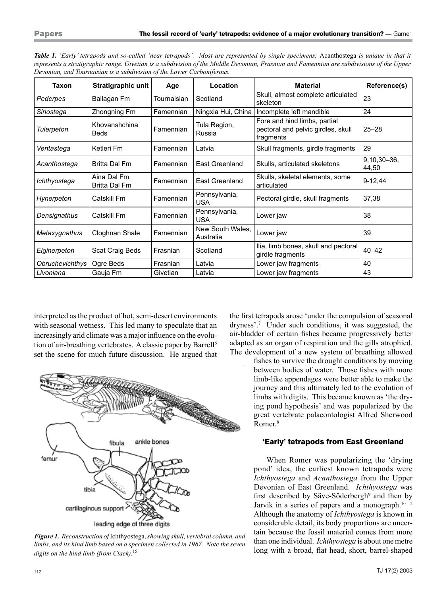| Taxon           | Stratigraphic unit           | Age         | Location                      | <b>Material</b>                                                                 | Reference(s)             |
|-----------------|------------------------------|-------------|-------------------------------|---------------------------------------------------------------------------------|--------------------------|
| Pederpes        | Ballagan Fm                  | Tournaisian | Scotland                      | Skull, almost complete articulated<br>skeleton                                  | 23                       |
| Sinostega       | Zhongning Fm                 | Famennian   | Ningxia Hui, China            | Incomplete left mandible                                                        | 24                       |
| Tulerpeton      | Khovanshchina<br><b>Beds</b> | Famennian   | Tula Region,<br>Russia        | Fore and hind limbs, partial<br>pectoral and pelvic girdles, skull<br>fragments | $25 - 28$                |
| Ventastega      | Ketleri Fm                   | Famennian   | Latvia                        | Skull fragments, girdle fragments                                               | 29                       |
| Acanthostega    | Britta Dal Fm                | Famennian   | East Greenland                | Skulls, articulated skeletons                                                   | $9,10,30 - 36,$<br>44,50 |
| Ichthyostega    | Aina Dal Fm<br>Britta Dal Fm | Famennian   | East Greenland                | Skulls, skeletal elements, some<br>articulated                                  | $9 - 12,44$              |
| Hynerpeton      | Catskill Fm                  | Famennian   | Pennsylvania,<br><b>USA</b>   | Pectoral girdle, skull fragments                                                | 37,38                    |
| Densignathus    | Catskill Fm                  | Famennian   | Pennsylvania,<br><b>USA</b>   | Lower jaw                                                                       | 38                       |
| Metaxygnathus   | Cloghnan Shale               | Famennian   | New South Wales,<br>Australia | Lower jaw                                                                       | 39                       |
| Elginerpeton    | Scat Craig Beds              | Frasnian    | Scotland                      | Ilia, limb bones, skull and pectoral<br>girdle fragments                        | $40 - 42$                |
| Obruchevichthys | Ogre Beds                    | Frasnian    | Latvia                        | Lower jaw fragments                                                             | 40                       |
| Livoniana       | Gauja Fm                     | Givetian    | Latvia                        | Lower jaw fragments                                                             | 43                       |

*Table 1. 'Early' tetrapods and so-called 'near tetrapods'. Most are represented by single specimens;* Acanthostega *is unique in that it represents a stratigraphic range. Givetian is a subdivision of the Middle Devonian, Frasnian and Famennian are subdivisions of the Upper Devonian, and Tournaisian is a subdivision of the Lower Carboniferous.*

interpreted as the product of hot, semi-desert environments with seasonal wetness. This led many to speculate that an increasingly arid climate was a major influence on the evolution of air-breathing vertebrates. A classic paper by Barrell<sup>6</sup> set the scene for much future discussion. He argued that



*Figure 1. Reconstruction of* Ichthyostega, *showing skull, vertebral column, and limbs, and its hind limb based on a specimen collected in 1987. Note the seven digits on the hind limb (from Clack).*<sup>15</sup>

the first tetrapods arose 'under the compulsion of seasonal dryness'.7 Under such conditions, it was suggested, the air-bladder of certain fishes became progressively better adapted as an organ of respiration and the gills atrophied. The development of a new system of breathing allowed

> fishes to survive the drought conditions by moving between bodies of water. Those fishes with more limb-like appendages were better able to make the journey and this ultimately led to the evolution of limbs with digits. This became known as 'the drying pond hypothesis' and was popularized by the great vertebrate palaeontologist Alfred Sherwood Romer.8

## 'Early' tetrapods from East Greenland

When Romer was popularizing the 'drying pond' idea, the earliest known tetrapods were *Ichthyostega* and *Acanthostega* from the Upper Devonian of East Greenland. *Ichthyostega* was first described by Säve-Söderbergh<sup>9</sup> and then by Jarvik in a series of papers and a monograph.<sup>10-12</sup> Although the anatomy of *Ichthyostega* is known in considerable detail, its body proportions are uncertain because the fossil material comes from more than one individual. *Ichthyostega* is about one metre long with a broad, flat head, short, barrel-shaped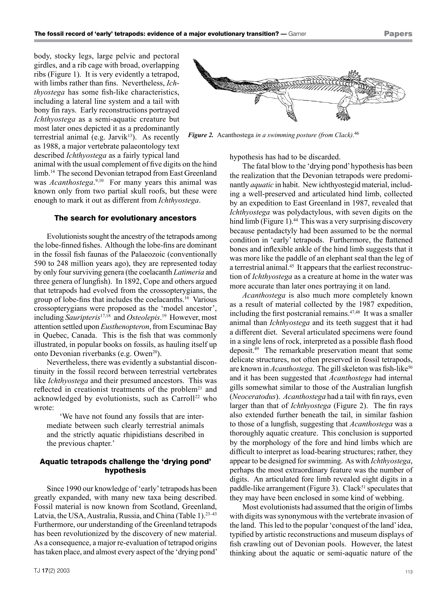body, stocky legs, large pelvic and pectoral girdles, and a rib cage with broad, overlapping ribs (Figure 1). It is very evidently a tetrapod, with limbs rather than fins. Nevertheless, *Ichthyostega* has some fish-like characteristics, including a lateral line system and a tail with bony fin rays. Early reconstructions portrayed *Ichthyostega* as a semi-aquatic creature but most later ones depicted it as a predominantly terrestrial animal (e.g. Jarvik $13$ ). As recently as 1988, a major vertebrate palaeontology text described *Ichthyostega* as a fairly typical land

animal with the usual complement of five digits on the hind limb.<sup>14</sup> The second Devonian tetrapod from East Greenland was *Acanthostega*.<sup>9,10</sup> For many years this animal was known only from two partial skull roofs, but these were enough to mark it out as different from *Ichthyostega*.

#### The search for evolutionary ancestors

Evolutionists sought the ancestry of the tetrapods among the lobe-finned fishes. Although the lobe-fins are dominant in the fossil fish faunas of the Palaeozoic (conventionally 590 to 248 million years ago), they are represented today by only four surviving genera (the coelacanth *Latimeria* and three genera of lungfish). In 1892, Cope and others argued that tetrapods had evolved from the crossopterygians, the group of lobe-fins that includes the coelacanths.16 Various crossopterygians were proposed as the 'model ancestor', including *Sauripteris*<sup>17</sup>,<sup>18</sup> and *Osteolepis*. <sup>19</sup> However, most attention settled upon *Eusthenopteron*, from Escuminac Bay in Quebec, Canada. This is the fish that was commonly illustrated, in popular books on fossils, as hauling itself up onto Devonian riverbanks (e.g. Owen<sup>20</sup>).

Nevertheless, there was evidently a substantial discontinuity in the fossil record between terrestrial vertebrates like *Ichthyostega* and their presumed ancestors. This was reflected in creationist treatments of the problem<sup>21</sup> and acknowledged by evolutionists, such as  $Carroll<sup>22</sup>$  who wrote:

'We have not found any fossils that are intermediate between such clearly terrestrial animals and the strictly aquatic rhipidistians described in the previous chapter.'

## Aquatic tetrapods challenge the 'drying pond' hypothesis

Since 1990 our knowledge of 'early' tetrapods has been greatly expanded, with many new taxa being described. Fossil material is now known from Scotland, Greenland, Latvia, the USA, Australia, Russia, and China (Table 1).<sup>23-43</sup> Furthermore, our understanding of the Greenland tetrapods has been revolutionized by the discovery of new material. As a consequence, a major re-evaluation of tetrapod origins has taken place, and almost every aspect of the 'drying pond'



*Figure 2.* Acanthostega *in a swimming posture (from Clack).*<sup>46</sup>

hypothesis has had to be discarded.

The fatal blow to the 'drying pond' hypothesis has been the realization that the Devonian tetrapods were predominantly *aquatic* in habit. New ichthyostegid material, including a well-preserved and articulated hind limb, collected by an expedition to East Greenland in 1987, revealed that *Ichthyostega* was polydactylous, with seven digits on the hind limb (Figure 1).<sup>44</sup> This was a very surprising discovery because pentadactyly had been assumed to be the normal condition in 'early' tetrapods. Furthermore, the flattened bones and inflexible ankle of the hind limb suggests that it was more like the paddle of an elephant seal than the leg of a terrestrial animal.45 It appears that the earliest reconstruction of *Ichthyostega* as a creature at home in the water was more accurate than later ones portraying it on land.

*Acanthostega* is also much more completely known as a result of material collected by the 1987 expedition, including the first postcranial remains.47,<sup>48</sup> It was a smaller animal than *Ichthyostega* and its teeth suggest that it had a different diet. Several articulated specimens were found in a single lens of rock, interpreted as a possible flash flood deposit.<sup>49</sup> The remarkable preservation meant that some delicate structures, not often preserved in fossil tetrapods, are known in *Acanthostega*. The gill skeleton was fish-like<sup>50</sup> and it has been suggested that *Acanthostega* had internal gills somewhat similar to those of the Australian lungfish (*Neoceratodus*). *Acanthostega* had a tail with fin rays, even larger than that of *Ichthyostega* (Figure 2). The fin rays also extended further beneath the tail, in similar fashion to those of a lungfish, suggesting that *Acanthostega* was a thoroughly aquatic creature. This conclusion is supported by the morphology of the fore and hind limbs which are difficult to interpret as load-bearing structures; rather, they appear to be designed for swimming. As with *Ichthyostega*, perhaps the most extraordinary feature was the number of digits. An articulated fore limb revealed eight digits in a paddle-like arrangement (Figure 3). Clack<sup>51</sup> speculates that they may have been enclosed in some kind of webbing.

Most evolutionists had assumed that the origin of limbs with digits was synonymous with the vertebrate invasion of the land. This led to the popular 'conquest of the land' idea, typified by artistic reconstructions and museum displays of fish crawling out of Devonian pools. However, the latest thinking about the aquatic or semi-aquatic nature of the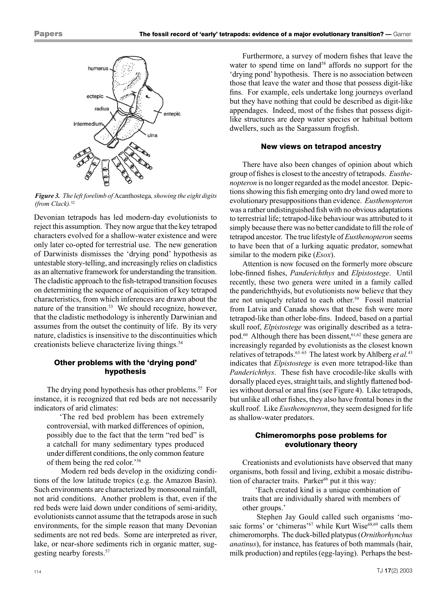

*Figure 3. The left forelimb of* Acanthostega*, showing the eight digits (from Clack).*<sup>52</sup>

Devonian tetrapods has led modern-day evolutionists to reject this assumption. They now argue that the key tetrapod characters evolved for a shallow-water existence and were only later co-opted for terrestrial use. The new generation of Darwinists dismisses the 'drying pond' hypothesis as untestable story-telling, and increasingly relies on cladistics as an alternative framework for understanding the transition. The cladistic approach to the fish-tetrapod transition focuses on determining the sequence of acquisition of key tetrapod characteristics, from which inferences are drawn about the nature of the transition.<sup>53</sup> We should recognize, however, that the cladistic methodology is inherently Darwinian and assumes from the outset the continuity of life. By its very nature, cladistics is insensitive to the discontinuities which creationists believe characterize living things.<sup>54</sup>

## Other problems with the 'drying pond' hypothesis

The drying pond hypothesis has other problems.<sup>55</sup> For instance, it is recognized that red beds are not necessarily indicators of arid climates:

'The red bed problem has been extremely controversial, with marked differences of opinion, possibly due to the fact that the term "red bed" is a catchall for many sedimentary types produced under different conditions, the only common feature of them being the red color.'56

Modern red beds develop in the oxidizing conditions of the low latitude tropics (e.g. the Amazon Basin). Such environments are characterized by monsoonal rainfall, not arid conditions. Another problem is that, even if the red beds were laid down under conditions of semi-aridity, evolutionists cannot assume that the tetrapods arose in such environments, for the simple reason that many Devonian sediments are not red beds. Some are interpreted as river, lake, or near-shore sediments rich in organic matter, suggesting nearby forests.57

Furthermore, a survey of modern fishes that leave the water to spend time on land<sup>58</sup> affords no support for the 'drying pond' hypothesis. There is no association between those that leave the water and those that possess digit-like fins. For example, eels undertake long journeys overland but they have nothing that could be described as digit-like appendages. Indeed, most of the fishes that possess digitlike structures are deep water species or habitual bottom dwellers, such as the Sargassum frogfish.

#### New views on tetrapod ancestry

There have also been changes of opinion about which group of fishes is closest to the ancestry of tetrapods. *Eusthenopteron* is no longer regarded as the model ancestor. Depictions showing this fish emerging onto dry land owed more to evolutionary presuppositions than evidence. *Eusthenopteron* was a rather undistinguished fish with no obvious adaptations to terrestrial life; tetrapod-like behaviour was attributed to it simply because there was no better candidate to fill the role of tetrapod ancestor. The true lifestyle of *Eusthenopteron* seems to have been that of a lurking aquatic predator, somewhat similar to the modern pike (*Esox*).

Attention is now focused on the formerly more obscure lobe-finned fishes, *Panderichthys* and *Elpistostege*. Until recently, these two genera were united in a family called the panderichthyids, but evolutionists now believe that they are not uniquely related to each other.<sup>59</sup> Fossil material from Latvia and Canada shows that these fish were more tetrapod-like than other lobe-fins. Indeed, based on a partial skull roof, *Elpistostege* was originally described as a tetrapod.<sup>60</sup> Although there has been dissent,<sup>61,62</sup> these genera are increasingly regarded by evolutionists as the closest known relatives of tetrapods.63–65 The latest work by Ahlberg *et al.*<sup>43</sup> indicates that *Elpistostege* is even more tetrapod-like than *Panderichthys*. These fish have crocodile-like skulls with dorsally placed eyes, straight tails, and slightly flattened bodies without dorsal or anal fins (see Figure 4). Like tetrapods, but unlike all other fishes, they also have frontal bones in the skull roof. Like *Eusthenopteron*, they seem designed for life as shallow-water predators.

## Chimeromorphs pose problems for evolutionary theory

Creationists and evolutionists have observed that many organisms, both fossil and living, exhibit a mosaic distribution of character traits. Parker<sup>66</sup> put it this way:

'Each created kind is a unique combination of traits that are individually shared with members of other groups.'

Stephen Jay Gould called such organisms 'mosaic forms' or 'chimeras'<sup>67</sup> while Kurt Wise<sup>68,69</sup> calls them chimeromorphs. The duck-billed platypus (*Ornithorhynchus anatinus*), for instance, has features of both mammals (hair, milk production) and reptiles (egg-laying). Perhaps the best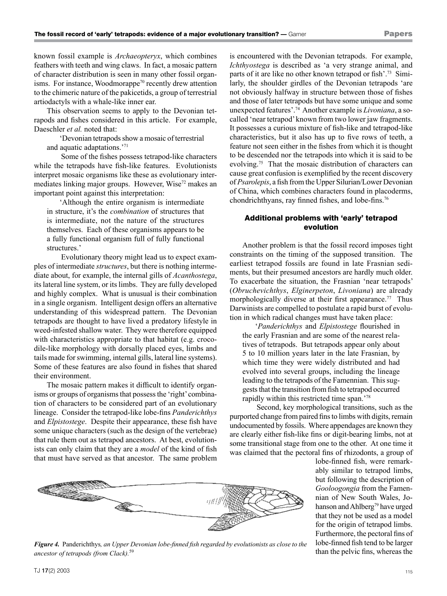known fossil example is *Archaeopteryx*, which combines feathers with teeth and wing claws. In fact, a mosaic pattern of character distribution is seen in many other fossil organisms. For instance, Woodmorappe<sup>70</sup> recently drew attention to the chimeric nature of the pakicetids, a group of terrestrial artiodactyls with a whale-like inner ear.

This observation seems to apply to the Devonian tetrapods and fishes considered in this article. For example, Daeschler *et al.* noted that:

'Devonian tetrapods show a mosaic of terrestrial and aquatic adaptations.'71

Some of the fishes possess tetrapod-like characters while the tetrapods have fish-like features. Evolutionists interpret mosaic organisms like these as evolutionary intermediates linking major groups. However, Wise<sup>72</sup> makes an important point against this interpretation:

'Although the entire organism is intermediate in structure, it's the *combination* of structures that is intermediate, not the nature of the structures themselves. Each of these organisms appears to be a fully functional organism full of fully functional structures.'

Evolutionary theory might lead us to expect examples of intermediate *structures*, but there is nothing intermediate about, for example, the internal gills of *Acanthostega*, its lateral line system, or its limbs. They are fully developed and highly complex. What is unusual is their combination in a single organism. Intelligent design offers an alternative understanding of this widespread pattern. The Devonian tetrapods are thought to have lived a predatory lifestyle in weed-infested shallow water. They were therefore equipped with characteristics appropriate to that habitat (e.g. crocodile-like morphology with dorsally placed eyes, limbs and tails made for swimming, internal gills, lateral line systems). Some of these features are also found in fishes that shared their environment.

The mosaic pattern makes it difficult to identify organisms or groups of organisms that possess the 'right' combination of characters to be considered part of an evolutionary lineage. Consider the tetrapod-like lobe-fins *Panderichthys* and *Elpistostege*. Despite their appearance, these fish have some unique characters (such as the design of the vertebrae) that rule them out as tetrapod ancestors. At best, evolutionists can only claim that they are a *model* of the kind of fish that must have served as that ancestor. The same problem is encountered with the Devonian tetrapods. For example, *Ichthyostega* is described as 'a very strange animal, and parts of it are like no other known tetrapod or fish'.73 Similarly, the shoulder girdles of the Devonian tetrapods 'are not obviously halfway in structure between those of fishes and those of later tetrapods but have some unique and some unexpected features'.74 Another example is *Livoniana*, a socalled 'near tetrapod' known from two lower jaw fragments. It possesses a curious mixture of fish-like and tetrapod-like characteristics, but it also has up to five rows of teeth, a feature not seen either in the fishes from which it is thought to be descended nor the tetrapods into which it is said to be evolving.75 That the mosaic distribution of characters can cause great confusion is exemplified by the recent discovery of *Psarolepis*, a fish from the Upper Silurian/Lower Devonian of China, which combines characters found in placoderms, chondrichthyans, ray finned fishes, and lobe-fins.76

## Additional problems with 'early' tetrapod evolution

Another problem is that the fossil record imposes tight constraints on the timing of the supposed transition. The earliest tetrapod fossils are found in late Frasnian sediments, but their presumed ancestors are hardly much older. To exacerbate the situation, the Frasnian 'near tetrapods' (*Obruchevichthys*, *Elginerpeton*, *Livoniana*) are already morphologically diverse at their first appearance.<sup>77</sup> Thus Darwinists are compelled to postulate a rapid burst of evolution in which radical changes must have taken place:

'*Panderichthys* and *Elpistostege* flourished in the early Frasnian and are some of the nearest relatives of tetrapods. But tetrapods appear only about 5 to 10 million years later in the late Frasnian, by which time they were widely distributed and had evolved into several groups, including the lineage leading to the tetrapods of the Famennian. This suggests that the transition from fish to tetrapod occurred rapidly within this restricted time span.'78

Second, key morphological transitions, such as the purported change from paired fins to limbs with digits, remain undocumented by fossils. Where appendages are known they are clearly either fish-like fins or digit-bearing limbs, not at some transitional stage from one to the other. At one time it was claimed that the pectoral fins of rhizodonts, a group of

> ably similar to tetrapod limbs, but following the description of *Gooloogongia* from the Famennian of New South Wales, Johanson and Ahlberg<sup>79</sup> have urged that they not be used as a model for the origin of tetrapod limbs. Furthermore, the pectoral fins of lobe-finned fish tend to be larger than the pelvic fins, whereas the

> lobe-finned fish, were remark-



*Figure 4.* Panderichthys*, an Upper Devonian lobe-finned fish regarded by evolutionists as close to the ancestor of tetrapods (from Clack).*<sup>59</sup>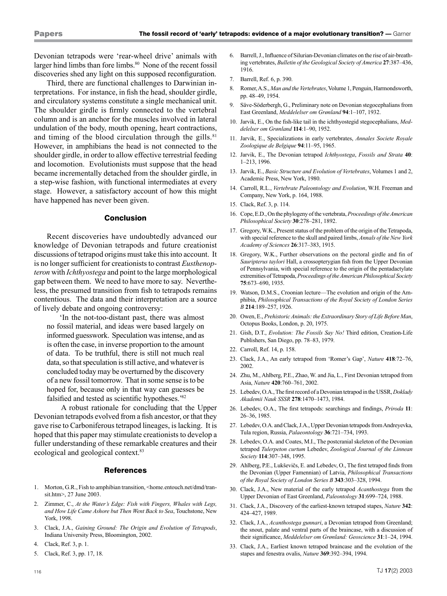Devonian tetrapods were 'rear-wheel drive' animals with larger hind limbs than fore limbs.<sup>80</sup> None of the recent fossil discoveries shed any light on this supposed reconfiguration.

Third, there are functional challenges to Darwinian interpretations. For instance, in fish the head, shoulder girdle, and circulatory systems constitute a single mechanical unit. The shoulder girdle is firmly connected to the vertebral column and is an anchor for the muscles involved in lateral undulation of the body, mouth opening, heart contractions, and timing of the blood circulation through the gills. $81$ However, in amphibians the head is not connected to the shoulder girdle, in order to allow effective terrestrial feeding and locomotion. Evolutionists must suppose that the head became incrementally detached from the shoulder girdle, in a step-wise fashion, with functional intermediates at every stage. However, a satisfactory account of how this might have happened has never been given.

#### Conclusion

Recent discoveries have undoubtedly advanced our knowledge of Devonian tetrapods and future creationist discussions of tetrapod origins must take this into account. It is no longer sufficient for creationists to contrast *Eusthenopteron* with *Ichthyostega* and point to the large morphological gap between them. We need to have more to say. Nevertheless, the presumed transition from fish to tetrapods remains contentious. The data and their interpretation are a source of lively debate and ongoing controversy:

'In the not-too-distant past, there was almost no fossil material, and ideas were based largely on informed guesswork. Speculation was intense, and as is often the case, in inverse proportion to the amount of data. To be truthful, there is still not much real data, so that speculation is still active, and whatever is concluded today may be overturned by the discovery of a new fossil tomorrow. That in some sense is to be hoped for, because only in that way can guesses be falsified and tested as scientific hypotheses.'8<sup>2</sup>

A robust rationale for concluding that the Upper Devonian tetrapods evolved from a fish ancestor, or that they gave rise to Carboniferous tetrapod lineages, is lacking. It is hoped that this paper may stimulate creationists to develop a fuller understanding of these remarkable creatures and their ecological and geological context.<sup>83</sup>

#### **References**

- 1. Morton, G.R., Fish to amphibian transition, <home.entouch.net/dmd/transit.htm>, 27 June 2003.
- 2. Zimmer, C., *At the Water's Edge: Fish with Fingers, Whales with Legs, and How Life Came Ashore but Then Went Back to Sea*, Touchstone, New York, 1998.
- 3. Clack, J.A., *Gaining Ground: The Origin and Evolution of Tetrapods*, Indiana University Press, Bloomington, 2002.
- 4. Clack, Ref. 3, p. 1.
- 5. Clack, Ref. 3, pp. 17, 18.

- 6. Barrell, J., Influence of Silurian-Devonian climates on the rise of air-breathing vertebrates, *Bulletin of the Geological Society of America* **27**:387–436, 1916.
- 7. Barrell, Ref. 6, p. 390.
- 8. Romer, A.S., *Man and the Vertebrates*, Volume 1, Penguin, Harmondsworth, pp. 48–49, 1954.
- 9. Säve-Söderbergh, G., Preliminary note on Devonian stegocephalians from East Greenland, *Meddelelser om Grønland* **94**:1–107, 1932.
- 10. Jarvik, E., On the fish-like tail in the ichthyostegid stegocephalians, *Meddelelser om Grønland* **114**:1–90, 1952.
- 11. Jarvik, E., Specializations in early vertebrates, *Annales Societe Royale Zoologique de Belgique* **94**:11–95, 1965.
- 12. Jarvik, E., The Devonian tetrapod *Ichthyostega*, *Fossils and Strata* **40**: 1–213, 1996.
- 13. Jarvik, E., *Basic Structure and Evolution of Vertebrates*, Volumes 1 and 2, Academic Press, New York, 1980.
- 14. Carroll, R.L., *Vertebrate Paleontology and Evolution*, W.H. Freeman and Company, New York, p. 164, 1988.
- 15. Clack, Ref. 3, p. 114.
- 16. Cope, E.D., On the phylogeny of the vertebrata, *Proceedings of the American Philosophical Society* **30**:278–281, 1892.
- 17. Gregory, W.K., Present status of the problem of the origin of the Tetrapoda, with special reference to the skull and paired limbs, *Annals of the New York Academy of Sciences* **26**:317–383, 1915.
- 18. Gregory, W.K., Further observations on the pectoral girdle and fin of *Sauripterus taylori* Hall, a crossopterygian fish from the Upper Devonian of Pennsylvania, with special reference to the origin of the pentadactylate extremities of Tetrapoda, *Proceedings of the American Philosophical Society* **75**:673–690, 1935.
- 19. Watson, D.M.S., Croonian lecture—The evolution and origin of the Amphibia, *Philosophical Transactions of the Royal Society of London Series B* **214**:189–257, 1926.
- 20. Owen, E., *Prehistoric Animals: the Extraordinary Story of Life Before Man*, Octopus Books, London, p. 20, 1975.
- 21. Gish, D.T., *Evolution: The Fossils Say No!* Third edition, Creation-Life Publishers, San Diego, pp. 78–83, 1979.
- 22. Carroll, Ref. 14, p. 158.
- 23. Clack, J.A., An early tetrapod from 'Romer's Gap', *Nature* **418**:72–76, 2002.
- 24. Zhu, M., Ahlberg, P.E., Zhao, W. and Jia, L., First Devonian tetrapod from Asia, *Nature* **420**:760–761, 2002.
- 25. Lebedev, O.A., The first record of a Devonian tetrapod in the USSR, *Doklady Akademii Nauk SSSR* **278**:1470–1473, 1984.
- 26. Lebedev, O.A., The first tetrapods: searchings and findings, *Priroda* **11**: 26–36, 1985.
- 27. Lebedev, O.A. and Clack, J.A., Upper Devonian tetrapods from Andreyevka, Tula region, Russia, *Palaeontology* **36**:721–734, 1993.
- 28. Lebedev, O.A. and Coates, M.I., The postcranial skeleton of the Devonian tetrapod *Tulerpeton curtum* Lebedev, *Zoological Journal of the Linnean Society* **114**:307–348, 1995.
- 29. Ahlberg, P.E., Lukševičs, E. and Lebedev, O., The first tetrapod finds from the Devonian (Upper Famennian) of Latvia, *Philosophical Transactions of the Royal Society of London Series B* **343**:303–328, 1994.
- 30. Clack, J.A., New material of the early tetrapod *Acanthostega* from the Upper Devonian of East Greenland, *Paleontology* **31**:699–724, 1988.
- 31. Clack, J.A., Discovery of the earliest-known tetrapod stapes, *Nature* **342**: 424–427, 1989.
- 32. Clack, J.A., *Acanthostega gunnari*, a Devonian tetrapod from Greenland; the snout, palate and ventral parts of the braincase, with a discussion of their significance, *Meddelelser om Grønland: Geoscience* **31**:1–24, 1994.
- 33. Clack, J.A., Earliest known tetrapod braincase and the evolution of the stapes and fenestra ovalis, *Nature* **369**:392–394, 1994.